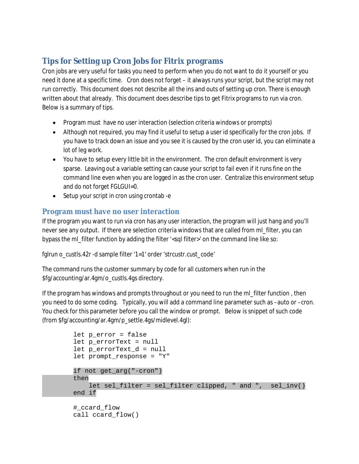# **Tips for Setting up Cron Jobs for Fitrix programs**

Cron jobs are very useful for tasks you need to perform when you do not want to do it yourself or you need it done at a specific time. Cron does not forget – it always runs your script, but the script may not run correctly. This document does not describe all the ins and outs of setting up cron. There is enough written about that already. This document does describe tips to get Fitrix programs to run via cron. Below is a summary of tips.

- Program must have no user interaction (selection criteria windows or prompts)
- Although not required, you may find it useful to setup a user id specifically for the cron jobs. If you have to track down an issue and you see it is caused by the cron user id, you can eliminate a lot of leg work.
- You have to setup every little bit in the environment. The cron default environment is very sparse. Leaving out a variable setting can cause your script to fail even if it runs fine on the command line even when you are logged in as the cron user. Centralize this environment setup and do not forget FGLGUI=0.
- Setup your script in cron using crontab -e

## **Program must have no user interaction**

If the program you want to run via cron has any user interaction, the program will just hang and you'll never see any output. If there are selection criteria windows that are called from ml\_filter, you can bypass the ml\_filter function by adding the filter '<sql filter>' on the command line like so:

```
fglrun o_custls.42r -d sample filter '1=1' order 'strcustr.cust_code'
```
The command runs the customer summary by code for all customers when run in the \$fg/accounting/ar.4gm/o\_custls.4gs directory.

If the program has windows and prompts throughout or you need to run the ml\_filter function , then you need to do some coding. Typically, you will add a command line parameter such as –auto or –cron. You check for this parameter before you call the window or prompt. Below is snippet of such code (from \$fg/accounting/ar.4gm/p\_settle.4gs/midlevel.4gl):

```
 let p_error = false
 let p_errorText = null
 let p_errorText_d = null
 let prompt_response = "Y"
 if not get_arg("-cron")
 then
     let sel_filter = sel_filter clipped, " and ", sel_inv()
 end if
 #_ccard_flow
 call ccard_flow()
```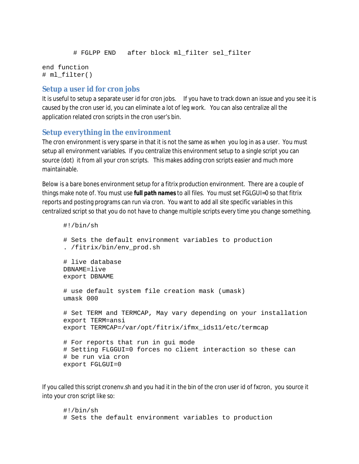```
 # FGLPP END after block ml_filter sel_filter
```

```
end function
# ml_filter()
```
#### **Setup a user id for cron jobs**

It is useful to setup a separate user id for cron jobs. If you have to track down an issue and you see it is caused by the cron user id, you can eliminate a lot of leg work. You can also centralize all the application related cron scripts in the cron user's bin.

### **Setup everything in the environment**

The cron environment is very sparse in that it is not the same as when you log in as a user. You must setup all environment variables. If you centralize this environment setup to a single script you can source (dot) it from all your cron scripts. This makes adding cron scripts easier and much more maintainable.

Below is a bare bones environment setup for a fitrix production environment. There are a couple of things make note of. You must use *full path names* to all files. You must set FGLGUI=0 so that fitrix reports and posting programs can run via cron. You want to add all site specific variables in this centralized script so that you do not have to change multiple scripts every time you change something.

```
#!/bin/sh
# Sets the default environment variables to production
. /fitrix/bin/env_prod.sh
# live database
DBNAME=live 
export DBNAME
# use default system file creation mask (umask)
umask 000
# Set TERM and TERMCAP, May vary depending on your installation
export TERM=ansi
export TERMCAP=/var/opt/fitrix/ifmx_ids11/etc/termcap
# For reports that run in gui mode
# Setting FLGGUI=0 forces no client interaction so these can
# be run via cron
export FGLGUI=0
```
If you called this script cronenv.sh and you had it in the bin of the cron user id of fxcron, you source it into your cron script like so:

#!/bin/sh # Sets the default environment variables to production